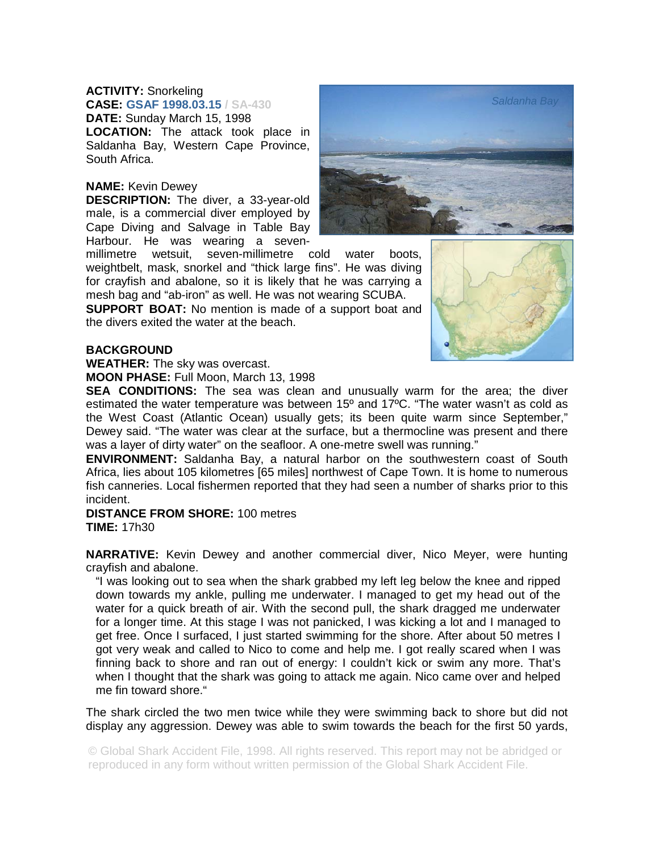## **ACTIVITY:** Snorkeling

**CASE: GSAF 1998.03.15 / SA-430 DATE:** Sunday March 15, 1998

**LOCATION:** The attack took place in Saldanha Bay, Western Cape Province, South Africa.

## **NAME:** Kevin Dewey

**DESCRIPTION:** The diver, a 33-year-old male, is a commercial diver employed by Cape Diving and Salvage in Table Bay Harbour. He was wearing a seven-

millimetre wetsuit, seven-millimetre cold water boots, weightbelt, mask, snorkel and "thick large fins". He was diving for crayfish and abalone, so it is likely that he was carrying a mesh bag and "ab-iron" as well. He was not wearing SCUBA.

**SUPPORT BOAT:** No mention is made of a support boat and the divers exited the water at the beach.



## **BACKGROUND**

**WEATHER:** The sky was overcast.

**MOON PHASE:** Full Moon, March 13, 1998

**SEA CONDITIONS:** The sea was clean and unusually warm for the area; the diver estimated the water temperature was between 15º and 17ºC. "The water wasn't as cold as the West Coast (Atlantic Ocean) usually gets; its been quite warm since September," Dewey said. "The water was clear at the surface, but a thermocline was present and there was a layer of dirty water" on the seafloor. A one-metre swell was running."

**ENVIRONMENT:** Saldanha Bay, a natural harbor on the southwestern coast of South Africa, lies about 105 kilometres [65 miles] northwest of Cape Town. It is home to numerous fish canneries. Local fishermen reported that they had seen a number of sharks prior to this incident.

## **DISTANCE FROM SHORE:** 100 metres **TIME:** 17h30

**NARRATIVE:** Kevin Dewey and another commercial diver, Nico Meyer, were hunting crayfish and abalone.

"I was looking out to sea when the shark grabbed my left leg below the knee and ripped down towards my ankle, pulling me underwater. I managed to get my head out of the water for a quick breath of air. With the second pull, the shark dragged me underwater for a longer time. At this stage I was not panicked, I was kicking a lot and I managed to get free. Once I surfaced, I just started swimming for the shore. After about 50 metres I got very weak and called to Nico to come and help me. I got really scared when I was finning back to shore and ran out of energy: I couldn't kick or swim any more. That's when I thought that the shark was going to attack me again. Nico came over and helped me fin toward shore."

The shark circled the two men twice while they were swimming back to shore but did not display any aggression. Dewey was able to swim towards the beach for the first 50 yards,

© Global Shark Accident File, 1998. All rights reserved. This report may not be abridged or reproduced in any form without written permission of the Global Shark Accident File.